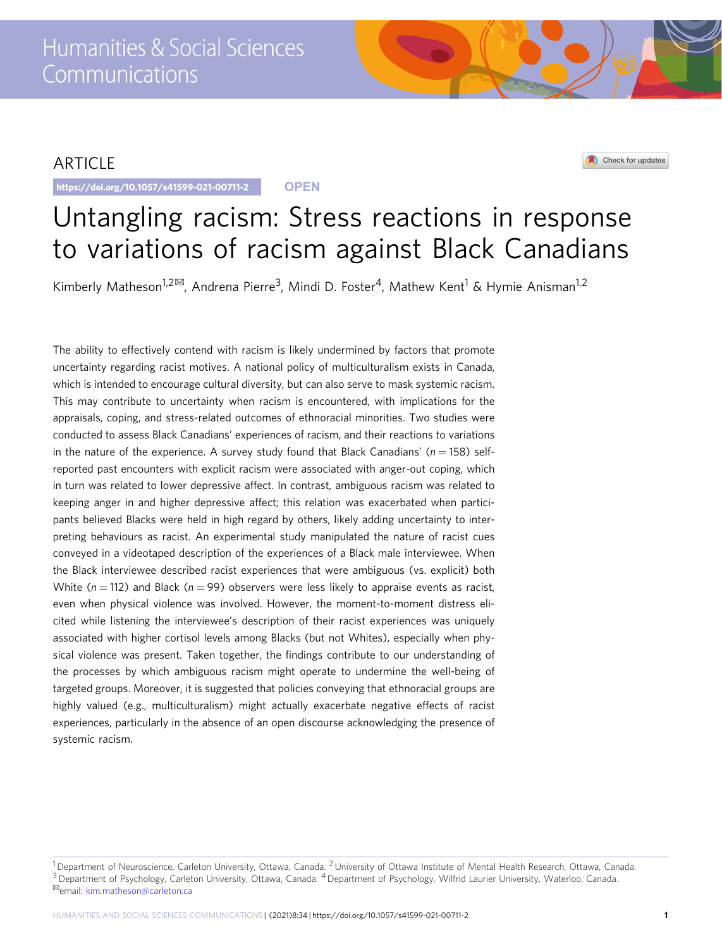# ARTICLE

https://doi.org/10.1057/s41599-021-00711-2 **OPEN**



# Untangling racism: Stress reactions in response to variations of racism against Black Canadians

Kimberly Matheson<sup>1,2 $\text{M}$ </sup>, Andrena Pierre<sup>3</sup>, Mindi D. Foster<sup>4</sup>, Mathew Kent<sup>1</sup> & Hymie Anisman<sup>1,2</sup>

The ability to effectively contend with racism is likely undermined by factors that promote uncertainty regarding racist motives. A national policy of multiculturalism exists in Canada, which is intended to encourage cultural diversity, but can also serve to mask systemic racism. This may contribute to uncertainty when racism is encountered, with implications for the appraisals, coping, and stress-related outcomes of ethnoracial minorities. Two studies were conducted to assess Black Canadians' experiences of racism, and their reactions to variations in the nature of the experience. A survey study found that Black Canadians' ( $n = 158$ ) selfreported past encounters with explicit racism were associated with anger-out coping, which in turn was related to lower depressive affect. In contrast, ambiguous racism was related to keeping anger in and higher depressive affect; this relation was exacerbated when participants believed Blacks were held in high regard by others, likely adding uncertainty to interpreting behaviours as racist. An experimental study manipulated the nature of racist cues conveyed in a videotaped description of the experiences of a Black male interviewee. When the Black interviewee described racist experiences that were ambiguous (vs. explicit) both White ( $n = 112$ ) and Black ( $n = 99$ ) observers were less likely to appraise events as racist, even when physical violence was involved. However, the moment-to-moment distress elicited while listening the interviewee's description of their racist experiences was uniquely associated with higher cortisol levels among Blacks (but not Whites), especially when physical violence was present. Taken together, the findings contribute to our understanding of the processes by which ambiguous racism might operate to undermine the well-being of targeted groups. Moreover, it is suggested that policies conveying that ethnoracial groups are highly valued (e.g., multiculturalism) might actually exacerbate negative effects of racist experiences, particularly in the absence of an open discourse acknowledging the presence of systemic racism.

<sup>&</sup>lt;sup>1</sup> Department of Neuroscience, Carleton University, Ottawa, Canada. <sup>2</sup> University of Ottawa Institute of Mental Health Research, Ottawa, Canada. 3 Department of Psychology, Carleton University, Ottawa, Canada. <sup>4</sup> Department of Psychology, Wilfrid Laurier University, Waterloo, Canada. <sup>¤</sup>email: [kim.matheson@carleton.ca](mailto:kim.matheson@carleton.ca)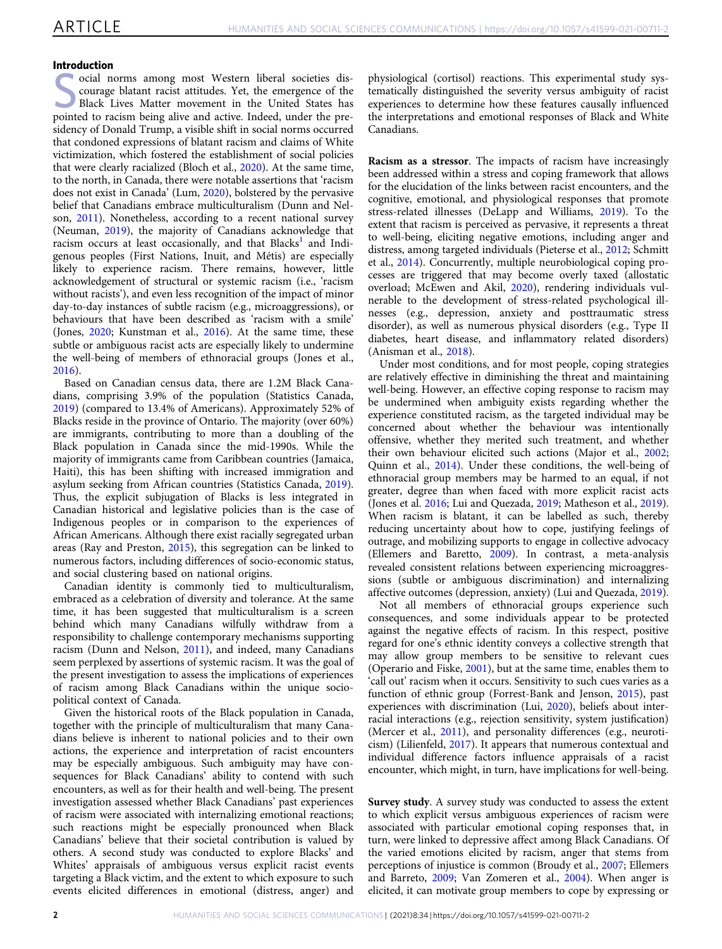## Introduction

Social norms among most Western liberal societies dis-<br>
Social norms among most Western liberal societies dis-<br>
Solar Lives Matter movement in the United States has<br>
nointed to resimble and active Indeed under the precourage blatant racist attitudes. Yet, the emergence of the pointed to racism being alive and active. Indeed, under the presidency of Donald Trump, a visible shift in social norms occurred that condoned expressions of blatant racism and claims of White victimization, which fostered the establishment of social policies that were clearly racialized (Bloch et al., [2020](#page-9-0)). At the same time, to the north, in Canada, there were notable assertions that 'racism does not exist in Canada' (Lum, [2020\)](#page-10-0), bolstered by the pervasive belief that Canadians embrace multiculturalism (Dunn and Nelson, [2011](#page-10-0)). Nonetheless, according to a recent national survey (Neuman, [2019](#page-10-0)), the majority of Canadians acknowledge that racism occurs at least occasionally, and that Blacks<sup>[1](#page-9-0)</sup> and Indigenous peoples (First Nations, Inuit, and Métis) are especially likely to experience racism. There remains, however, little acknowledgement of structural or systemic racism (i.e., 'racism without racists'), and even less recognition of the impact of minor day-to-day instances of subtle racism (e.g., microaggressions), or behaviours that have been described as 'racism with a smile' (Jones, [2020;](#page-10-0) Kunstman et al., [2016](#page-10-0)). At the same time, these subtle or ambiguous racist acts are especially likely to undermine the well-being of members of ethnoracial groups (Jones et al., [2016\)](#page-10-0).

Based on Canadian census data, there are 1.2M Black Canadians, comprising 3.9% of the population (Statistics Canada, [2019\)](#page-11-0) (compared to 13.4% of Americans). Approximately 52% of Blacks reside in the province of Ontario. The majority (over 60%) are immigrants, contributing to more than a doubling of the Black population in Canada since the mid-1990s. While the majority of immigrants came from Caribbean countries (Jamaica, Haiti), this has been shifting with increased immigration and asylum seeking from African countries (Statistics Canada, [2019](#page-11-0)). Thus, the explicit subjugation of Blacks is less integrated in Canadian historical and legislative policies than is the case of Indigenous peoples or in comparison to the experiences of African Americans. Although there exist racially segregated urban areas (Ray and Preston, [2015\)](#page-10-0), this segregation can be linked to numerous factors, including differences of socio-economic status, and social clustering based on national origins.

Canadian identity is commonly tied to multiculturalism, embraced as a celebration of diversity and tolerance. At the same time, it has been suggested that multiculturalism is a screen behind which many Canadians wilfully withdraw from a responsibility to challenge contemporary mechanisms supporting racism (Dunn and Nelson, [2011](#page-10-0)), and indeed, many Canadians seem perplexed by assertions of systemic racism. It was the goal of the present investigation to assess the implications of experiences of racism among Black Canadians within the unique sociopolitical context of Canada.

Given the historical roots of the Black population in Canada, together with the principle of multiculturalism that many Canadians believe is inherent to national policies and to their own actions, the experience and interpretation of racist encounters may be especially ambiguous. Such ambiguity may have consequences for Black Canadians' ability to contend with such encounters, as well as for their health and well-being. The present investigation assessed whether Black Canadians' past experiences of racism were associated with internalizing emotional reactions; such reactions might be especially pronounced when Black Canadians' believe that their societal contribution is valued by others. A second study was conducted to explore Blacks' and Whites' appraisals of ambiguous versus explicit racist events targeting a Black victim, and the extent to which exposure to such events elicited differences in emotional (distress, anger) and physiological (cortisol) reactions. This experimental study systematically distinguished the severity versus ambiguity of racist experiences to determine how these features causally influenced the interpretations and emotional responses of Black and White Canadians.

Racism as a stressor. The impacts of racism have increasingly been addressed within a stress and coping framework that allows for the elucidation of the links between racist encounters, and the cognitive, emotional, and physiological responses that promote stress-related illnesses (DeLapp and Williams, [2019\)](#page-10-0). To the extent that racism is perceived as pervasive, it represents a threat to well-being, eliciting negative emotions, including anger and distress, among targeted individuals (Pieterse et al., [2012;](#page-10-0) Schmitt et al., [2014\)](#page-10-0). Concurrently, multiple neurobiological coping processes are triggered that may become overly taxed (allostatic overload; McEwen and Akil, [2020\)](#page-10-0), rendering individuals vulnerable to the development of stress-related psychological illnesses (e.g., depression, anxiety and posttraumatic stress disorder), as well as numerous physical disorders (e.g., Type II diabetes, heart disease, and inflammatory related disorders) (Anisman et al., [2018](#page-9-0)).

Under most conditions, and for most people, coping strategies are relatively effective in diminishing the threat and maintaining well-being. However, an effective coping response to racism may be undermined when ambiguity exists regarding whether the experience constituted racism, as the targeted individual may be concerned about whether the behaviour was intentionally offensive, whether they merited such treatment, and whether their own behaviour elicited such actions (Major et al., [2002;](#page-10-0) Quinn et al., [2014\)](#page-10-0). Under these conditions, the well-being of ethnoracial group members may be harmed to an equal, if not greater, degree than when faced with more explicit racist acts (Jones et al. [2016](#page-10-0); Lui and Quezada, [2019;](#page-10-0) Matheson et al., [2019](#page-10-0)). When racism is blatant, it can be labelled as such, thereby reducing uncertainty about how to cope, justifying feelings of outrage, and mobilizing supports to engage in collective advocacy (Ellemers and Baretto, [2009](#page-10-0)). In contrast, a meta-analysis revealed consistent relations between experiencing microaggressions (subtle or ambiguous discrimination) and internalizing affective outcomes (depression, anxiety) (Lui and Quezada, [2019](#page-10-0)).

Not all members of ethnoracial groups experience such consequences, and some individuals appear to be protected against the negative effects of racism. In this respect, positive regard for one's ethnic identity conveys a collective strength that may allow group members to be sensitive to relevant cues (Operario and Fiske, [2001](#page-10-0)), but at the same time, enables them to 'call out' racism when it occurs. Sensitivity to such cues varies as a function of ethnic group (Forrest-Bank and Jenson, [2015](#page-10-0)), past experiences with discrimination (Lui, [2020](#page-10-0)), beliefs about interracial interactions (e.g., rejection sensitivity, system justification) (Mercer et al., [2011](#page-10-0)), and personality differences (e.g., neuroticism) (Lilienfeld, [2017\)](#page-10-0). It appears that numerous contextual and individual difference factors influence appraisals of a racist encounter, which might, in turn, have implications for well-being.

Survey study. A survey study was conducted to assess the extent to which explicit versus ambiguous experiences of racism were associated with particular emotional coping responses that, in turn, were linked to depressive affect among Black Canadians. Of the varied emotions elicited by racism, anger that stems from perceptions of injustice is common (Broudy et al., [2007](#page-10-0); Ellemers and Barreto, [2009;](#page-10-0) Van Zomeren et al., [2004\)](#page-11-0). When anger is elicited, it can motivate group members to cope by expressing or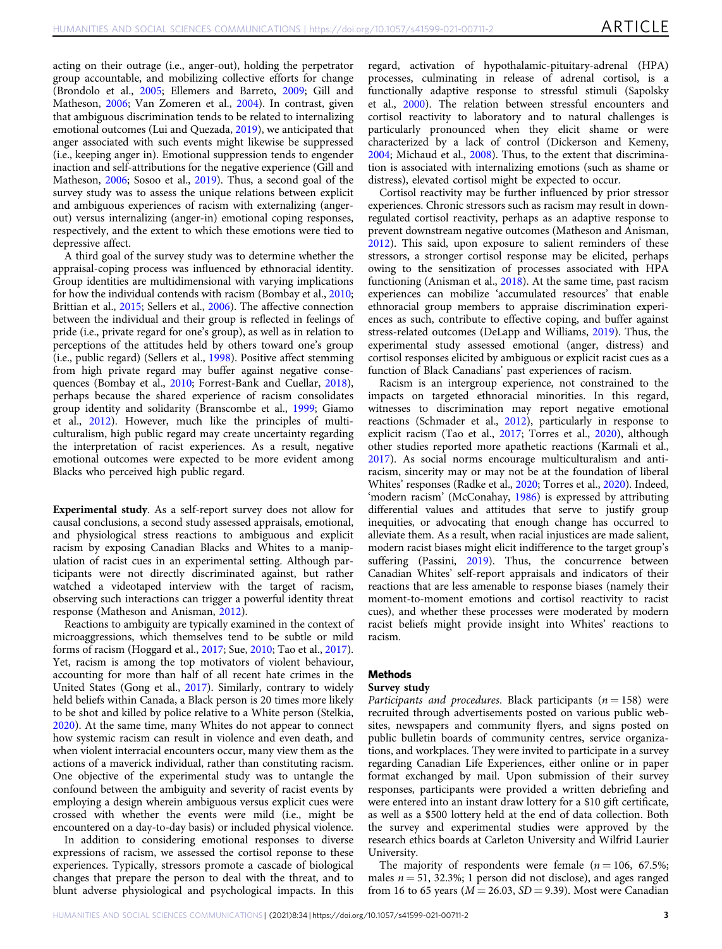acting on their outrage (i.e., anger-out), holding the perpetrator group accountable, and mobilizing collective efforts for change (Brondolo et al., [2005](#page-9-0); Ellemers and Barreto, [2009](#page-10-0); Gill and Matheson, [2006](#page-10-0); Van Zomeren et al., [2004](#page-11-0)). In contrast, given that ambiguous discrimination tends to be related to internalizing emotional outcomes (Lui and Quezada, [2019](#page-10-0)), we anticipated that anger associated with such events might likewise be suppressed (i.e., keeping anger in). Emotional suppression tends to engender inaction and self-attributions for the negative experience (Gill and Matheson, [2006;](#page-10-0) Sosoo et al., [2019\)](#page-11-0). Thus, a second goal of the survey study was to assess the unique relations between explicit and ambiguous experiences of racism with externalizing (angerout) versus internalizing (anger-in) emotional coping responses, respectively, and the extent to which these emotions were tied to depressive affect.

A third goal of the survey study was to determine whether the appraisal-coping process was influenced by ethnoracial identity. Group identities are multidimensional with varying implications for how the individual contends with racism (Bombay et al., [2010;](#page-9-0) Brittian et al., [2015;](#page-9-0) Sellers et al., [2006\)](#page-10-0). The affective connection between the individual and their group is reflected in feelings of pride (i.e., private regard for one's group), as well as in relation to perceptions of the attitudes held by others toward one's group (i.e., public regard) (Sellers et al., [1998](#page-11-0)). Positive affect stemming from high private regard may buffer against negative consequences (Bombay et al., [2010](#page-9-0); Forrest-Bank and Cuellar, [2018](#page-10-0)), perhaps because the shared experience of racism consolidates group identity and solidarity (Branscombe et al., [1999;](#page-9-0) Giamo et al., [2012\)](#page-10-0). However, much like the principles of multiculturalism, high public regard may create uncertainty regarding the interpretation of racist experiences. As a result, negative emotional outcomes were expected to be more evident among Blacks who perceived high public regard.

Experimental study. As a self-report survey does not allow for causal conclusions, a second study assessed appraisals, emotional, and physiological stress reactions to ambiguous and explicit racism by exposing Canadian Blacks and Whites to a manipulation of racist cues in an experimental setting. Although participants were not directly discriminated against, but rather watched a videotaped interview with the target of racism, observing such interactions can trigger a powerful identity threat response (Matheson and Anisman, [2012\)](#page-10-0).

Reactions to ambiguity are typically examined in the context of microaggressions, which themselves tend to be subtle or mild forms of racism (Hoggard et al., [2017](#page-10-0); Sue, [2010;](#page-11-0) Tao et al., [2017](#page-11-0)). Yet, racism is among the top motivators of violent behaviour, accounting for more than half of all recent hate crimes in the United States (Gong et al., [2017\)](#page-10-0). Similarly, contrary to widely held beliefs within Canada, a Black person is 20 times more likely to be shot and killed by police relative to a White person (Stelkia, [2020\)](#page-11-0). At the same time, many Whites do not appear to connect how systemic racism can result in violence and even death, and when violent interracial encounters occur, many view them as the actions of a maverick individual, rather than constituting racism. One objective of the experimental study was to untangle the confound between the ambiguity and severity of racist events by employing a design wherein ambiguous versus explicit cues were crossed with whether the events were mild (i.e., might be encountered on a day-to-day basis) or included physical violence.

In addition to considering emotional responses to diverse expressions of racism, we assessed the cortisol reponse to these experiences. Typically, stressors promote a cascade of biological changes that prepare the person to deal with the threat, and to blunt adverse physiological and psychological impacts. In this

regard, activation of hypothalamic-pituitary-adrenal (HPA) processes, culminating in release of adrenal cortisol, is a functionally adaptive response to stressful stimuli (Sapolsky et al., [2000\)](#page-10-0). The relation between stressful encounters and cortisol reactivity to laboratory and to natural challenges is particularly pronounced when they elicit shame or were characterized by a lack of control (Dickerson and Kemeny, [2004;](#page-10-0) Michaud et al., [2008\)](#page-10-0). Thus, to the extent that discrimination is associated with internalizing emotions (such as shame or distress), elevated cortisol might be expected to occur.

Cortisol reactivity may be further influenced by prior stressor experiences. Chronic stressors such as racism may result in downregulated cortisol reactivity, perhaps as an adaptive response to prevent downstream negative outcomes (Matheson and Anisman, [2012\)](#page-10-0). This said, upon exposure to salient reminders of these stressors, a stronger cortisol response may be elicited, perhaps owing to the sensitization of processes associated with HPA functioning (Anisman et al., [2018](#page-9-0)). At the same time, past racism experiences can mobilize 'accumulated resources' that enable ethnoracial group members to appraise discrimination experiences as such, contribute to effective coping, and buffer against stress-related outcomes (DeLapp and Williams, [2019\)](#page-10-0). Thus, the experimental study assessed emotional (anger, distress) and cortisol responses elicited by ambiguous or explicit racist cues as a function of Black Canadians' past experiences of racism.

Racism is an intergroup experience, not constrained to the impacts on targeted ethnoracial minorities. In this regard, witnesses to discrimination may report negative emotional reactions (Schmader et al., [2012](#page-10-0)), particularly in response to explicit racism (Tao et al., [2017](#page-11-0); Torres et al., [2020\)](#page-11-0), although other studies reported more apathetic reactions (Karmali et al., [2017\)](#page-10-0). As social norms encourage multiculturalism and antiracism, sincerity may or may not be at the foundation of liberal Whites' responses (Radke et al., [2020;](#page-10-0) Torres et al., [2020\)](#page-11-0). Indeed, 'modern racism' (McConahay, [1986\)](#page-10-0) is expressed by attributing differential values and attitudes that serve to justify group inequities, or advocating that enough change has occurred to alleviate them. As a result, when racial injustices are made salient, modern racist biases might elicit indifference to the target group's suffering (Passini, [2019](#page-10-0)). Thus, the concurrence between Canadian Whites' self-report appraisals and indicators of their reactions that are less amenable to response biases (namely their moment-to-moment emotions and cortisol reactivity to racist cues), and whether these processes were moderated by modern racist beliefs might provide insight into Whites' reactions to racism.

## **Methods**

#### Survey study

Participants and procedures. Black participants ( $n = 158$ ) were recruited through advertisements posted on various public websites, newspapers and community flyers, and signs posted on public bulletin boards of community centres, service organizations, and workplaces. They were invited to participate in a survey regarding Canadian Life Experiences, either online or in paper format exchanged by mail. Upon submission of their survey responses, participants were provided a written debriefing and were entered into an instant draw lottery for a \$10 gift certificate, as well as a \$500 lottery held at the end of data collection. Both the survey and experimental studies were approved by the research ethics boards at Carleton University and Wilfrid Laurier University.

The majority of respondents were female  $(n = 106, 67.5\%)$ ; males  $n = 51$ , 32.3%; 1 person did not disclose), and ages ranged from 16 to 65 years ( $M = 26.03$ ,  $SD = 9.39$ ). Most were Canadian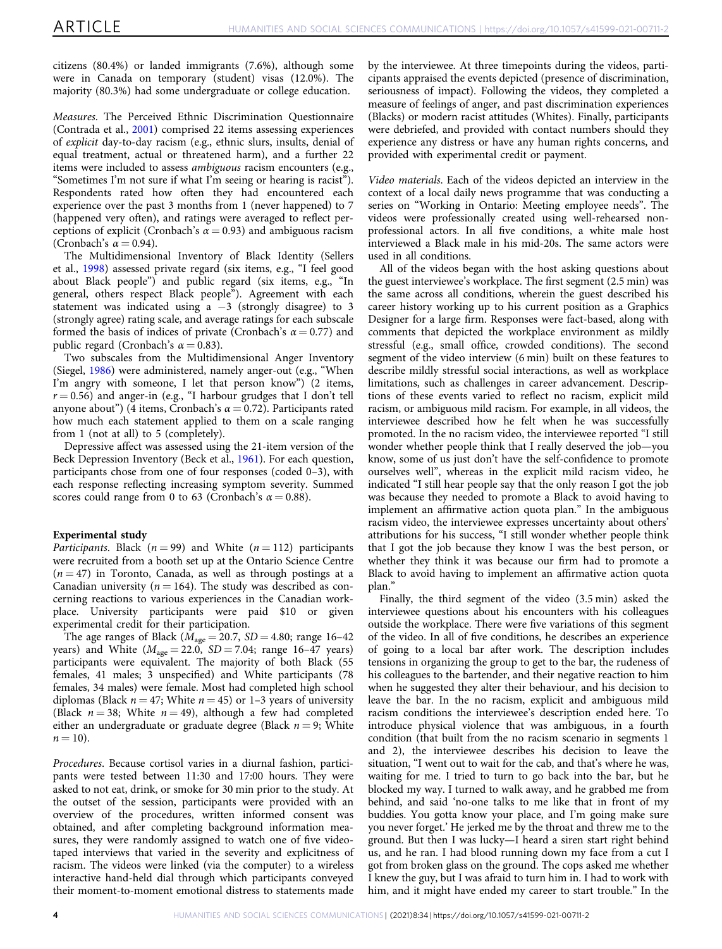citizens (80.4%) or landed immigrants (7.6%), although some were in Canada on temporary (student) visas (12.0%). The majority (80.3%) had some undergraduate or college education.

Measures. The Perceived Ethnic Discrimination Questionnaire (Contrada et al., [2001\)](#page-10-0) comprised 22 items assessing experiences of explicit day-to-day racism (e.g., ethnic slurs, insults, denial of equal treatment, actual or threatened harm), and a further 22 items were included to assess ambiguous racism encounters (e.g., "Sometimes I'm not sure if what I'm seeing or hearing is racist"). Respondents rated how often they had encountered each experience over the past 3 months from 1 (never happened) to 7 (happened very often), and ratings were averaged to reflect perceptions of explicit (Cronbach's  $\alpha = 0.93$ ) and ambiguous racism (Cronbach's  $\alpha = 0.94$ ).

The Multidimensional Inventory of Black Identity (Sellers et al., [1998](#page-11-0)) assessed private regard (six items, e.g., "I feel good about Black people") and public regard (six items, e.g., "In general, others respect Black people"). Agreement with each statement was indicated using a  $-3$  (strongly disagree) to 3 (strongly agree) rating scale, and average ratings for each subscale formed the basis of indices of private (Cronbach's  $\alpha = 0.77$ ) and public regard (Cronbach's  $\alpha$  = 0.83).

Two subscales from the Multidimensional Anger Inventory (Siegel, [1986\)](#page-11-0) were administered, namely anger-out (e.g., "When I'm angry with someone, I let that person know") (2 items,  $r = 0.56$ ) and anger-in (e.g., "I harbour grudges that I don't tell anyone about") (4 items, Cronbach's  $\alpha = 0.72$ ). Participants rated how much each statement applied to them on a scale ranging from 1 (not at all) to 5 (completely).

Depressive affect was assessed using the 21-item version of the Beck Depression Inventory (Beck et al., [1961\)](#page-9-0). For each question, participants chose from one of four responses (coded 0–3), with each response reflecting increasing symptom severity. Summed scores could range from 0 to 63 (Cronbach's  $\alpha = 0.88$ ).

#### Experimental study

Participants. Black ( $n = 99$ ) and White ( $n = 112$ ) participants were recruited from a booth set up at the Ontario Science Centre  $(n = 47)$  in Toronto, Canada, as well as through postings at a Canadian university ( $n = 164$ ). The study was described as concerning reactions to various experiences in the Canadian workplace. University participants were paid \$10 or given experimental credit for their participation.

The age ranges of Black ( $M_{\text{age}} = 20.7$ , SD = 4.80; range 16-42 years) and White ( $M_{\text{age}} = 22.0$ , SD = 7.04; range 16-47 years) participants were equivalent. The majority of both Black (55 females, 41 males; 3 unspecified) and White participants (78 females, 34 males) were female. Most had completed high school diplomas (Black  $n = 47$ ; White  $n = 45$ ) or 1–3 years of university (Black  $n = 38$ ; White  $n = 49$ ), although a few had completed either an undergraduate or graduate degree (Black  $n = 9$ ; White  $n = 10$ ).

Procedures. Because cortisol varies in a diurnal fashion, participants were tested between 11:30 and 17:00 hours. They were asked to not eat, drink, or smoke for 30 min prior to the study. At the outset of the session, participants were provided with an overview of the procedures, written informed consent was obtained, and after completing background information measures, they were randomly assigned to watch one of five videotaped interviews that varied in the severity and explicitness of racism. The videos were linked (via the computer) to a wireless interactive hand-held dial through which participants conveyed their moment-to-moment emotional distress to statements made by the interviewee. At three timepoints during the videos, participants appraised the events depicted (presence of discrimination, seriousness of impact). Following the videos, they completed a measure of feelings of anger, and past discrimination experiences (Blacks) or modern racist attitudes (Whites). Finally, participants were debriefed, and provided with contact numbers should they experience any distress or have any human rights concerns, and provided with experimental credit or payment.

Video materials. Each of the videos depicted an interview in the context of a local daily news programme that was conducting a series on "Working in Ontario: Meeting employee needs". The videos were professionally created using well-rehearsed nonprofessional actors. In all five conditions, a white male host interviewed a Black male in his mid-20s. The same actors were used in all conditions.

All of the videos began with the host asking questions about the guest interviewee's workplace. The first segment (2.5 min) was the same across all conditions, wherein the guest described his career history working up to his current position as a Graphics Designer for a large firm. Responses were fact-based, along with comments that depicted the workplace environment as mildly stressful (e.g., small office, crowded conditions). The second segment of the video interview (6 min) built on these features to describe mildly stressful social interactions, as well as workplace limitations, such as challenges in career advancement. Descriptions of these events varied to reflect no racism, explicit mild racism, or ambiguous mild racism. For example, in all videos, the interviewee described how he felt when he was successfully promoted. In the no racism video, the interviewee reported "I still wonder whether people think that I really deserved the job—you know, some of us just don't have the self-confidence to promote ourselves well", whereas in the explicit mild racism video, he indicated "I still hear people say that the only reason I got the job was because they needed to promote a Black to avoid having to implement an affirmative action quota plan." In the ambiguous racism video, the interviewee expresses uncertainty about others' attributions for his success, "I still wonder whether people think that I got the job because they know I was the best person, or whether they think it was because our firm had to promote a Black to avoid having to implement an affirmative action quota plan."

Finally, the third segment of the video (3.5 min) asked the interviewee questions about his encounters with his colleagues outside the workplace. There were five variations of this segment of the video. In all of five conditions, he describes an experience of going to a local bar after work. The description includes tensions in organizing the group to get to the bar, the rudeness of his colleagues to the bartender, and their negative reaction to him when he suggested they alter their behaviour, and his decision to leave the bar. In the no racism, explicit and ambiguous mild racism conditions the interviewee's description ended here. To introduce physical violence that was ambiguous, in a fourth condition (that built from the no racism scenario in segments 1 and 2), the interviewee describes his decision to leave the situation, "I went out to wait for the cab, and that's where he was, waiting for me. I tried to turn to go back into the bar, but he blocked my way. I turned to walk away, and he grabbed me from behind, and said 'no-one talks to me like that in front of my buddies. You gotta know your place, and I'm going make sure you never forget.' He jerked me by the throat and threw me to the ground. But then I was lucky—I heard a siren start right behind us, and he ran. I had blood running down my face from a cut I got from broken glass on the ground. The cops asked me whether I knew the guy, but I was afraid to turn him in. I had to work with him, and it might have ended my career to start trouble." In the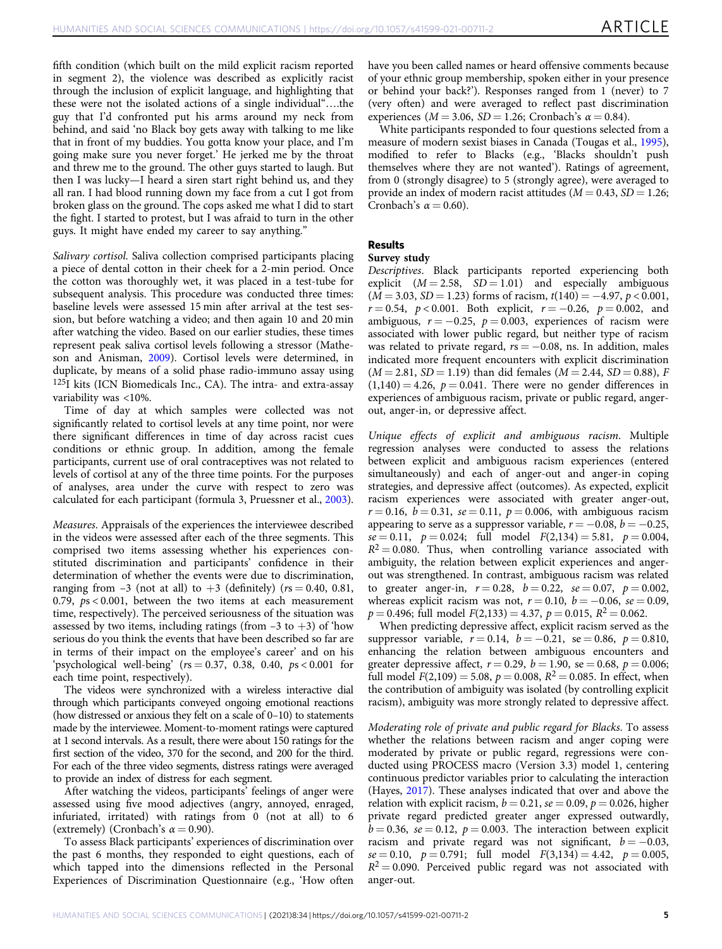fifth condition (which built on the mild explicit racism reported in segment 2), the violence was described as explicitly racist through the inclusion of explicit language, and highlighting that these were not the isolated actions of a single individual"….the guy that I'd confronted put his arms around my neck from behind, and said 'no Black boy gets away with talking to me like that in front of my buddies. You gotta know your place, and I'm going make sure you never forget.' He jerked me by the throat and threw me to the ground. The other guys started to laugh. But then I was lucky—I heard a siren start right behind us, and they all ran. I had blood running down my face from a cut I got from broken glass on the ground. The cops asked me what I did to start the fight. I started to protest, but I was afraid to turn in the other guys. It might have ended my career to say anything."

Salivary cortisol. Saliva collection comprised participants placing a piece of dental cotton in their cheek for a 2-min period. Once the cotton was thoroughly wet, it was placed in a test-tube for subsequent analysis. This procedure was conducted three times: baseline levels were assessed 15 min after arrival at the test session, but before watching a video; and then again 10 and 20 min after watching the video. Based on our earlier studies, these times represent peak saliva cortisol levels following a stressor (Matheson and Anisman, [2009](#page-10-0)). Cortisol levels were determined, in duplicate, by means of a solid phase radio-immuno assay using 125I kits (ICN Biomedicals Inc., CA). The intra- and extra-assay variability was <10%.

Time of day at which samples were collected was not significantly related to cortisol levels at any time point, nor were there significant differences in time of day across racist cues conditions or ethnic group. In addition, among the female participants, current use of oral contraceptives was not related to levels of cortisol at any of the three time points. For the purposes of analyses, area under the curve with respect to zero was calculated for each participant (formula 3, Pruessner et al., [2003](#page-10-0)).

Measures. Appraisals of the experiences the interviewee described in the videos were assessed after each of the three segments. This comprised two items assessing whether his experiences constituted discrimination and participants' confidence in their determination of whether the events were due to discrimination, ranging from  $-3$  (not at all) to  $+3$  (definitely) ( $rs = 0.40, 0.81$ , 0.79, ps < 0.001, between the two items at each measurement time, respectively). The perceived seriousness of the situation was assessed by two items, including ratings (from  $-3$  to  $+3$ ) of 'how serious do you think the events that have been described so far are in terms of their impact on the employee's career' and on his 'psychological well-being'  $(rs = 0.37, 0.38, 0.40, ps < 0.001$  for each time point, respectively).

The videos were synchronized with a wireless interactive dial through which participants conveyed ongoing emotional reactions (how distressed or anxious they felt on a scale of 0–10) to statements made by the interviewee. Moment-to-moment ratings were captured at 1 second intervals. As a result, there were about 150 ratings for the first section of the video, 370 for the second, and 200 for the third. For each of the three video segments, distress ratings were averaged to provide an index of distress for each segment.

After watching the videos, participants' feelings of anger were assessed using five mood adjectives (angry, annoyed, enraged, infuriated, irritated) with ratings from 0 (not at all) to 6 (extremely) (Cronbach's  $\alpha$  = 0.90).

To assess Black participants' experiences of discrimination over the past 6 months, they responded to eight questions, each of which tapped into the dimensions reflected in the Personal Experiences of Discrimination Questionnaire (e.g., 'How often

have you been called names or heard offensive comments because of your ethnic group membership, spoken either in your presence or behind your back?'). Responses ranged from 1 (never) to 7 (very often) and were averaged to reflect past discrimination experiences ( $M = 3.06$ ,  $SD = 1.26$ ; Cronbach's  $\alpha = 0.84$ ).

White participants responded to four questions selected from a measure of modern sexist biases in Canada (Tougas et al., [1995](#page-11-0)), modified to refer to Blacks (e.g., 'Blacks shouldn't push themselves where they are not wanted'). Ratings of agreement, from 0 (strongly disagree) to 5 (strongly agree), were averaged to provide an index of modern racist attitudes ( $M = 0.43$ ,  $SD = 1.26$ ; Cronbach's  $\alpha = 0.60$ ).

# Results

#### Survey study

Descriptives. Black participants reported experiencing both explicit  $(M = 2.58, SD = 1.01)$  and especially ambiguous  $(M = 3.03, SD = 1.23)$  forms of racism,  $t(140) = -4.97, p < 0.001$ ,  $r = 0.54$ ,  $p < 0.001$ . Both explicit,  $r = -0.26$ ,  $p = 0.002$ , and ambiguous,  $r = -0.25$ ,  $p = 0.003$ , experiences of racism were associated with lower public regard, but neither type of racism was related to private regard,  $rs = -0.08$ , ns. In addition, males indicated more frequent encounters with explicit discrimination  $(M = 2.81, SD = 1.19)$  than did females  $(M = 2.44, SD = 0.88)$ , F  $(1,140) = 4.26$ ,  $p = 0.041$ . There were no gender differences in experiences of ambiguous racism, private or public regard, angerout, anger-in, or depressive affect.

Unique effects of explicit and ambiguous racism. Multiple regression analyses were conducted to assess the relations between explicit and ambiguous racism experiences (entered simultaneously) and each of anger-out and anger-in coping strategies, and depressive affect (outcomes). As expected, explicit racism experiences were associated with greater anger-out,  $r = 0.16$ ,  $b = 0.31$ ,  $se = 0.11$ ,  $p = 0.006$ , with ambiguous racism appearing to serve as a suppressor variable,  $r = -0.08$ ,  $b = -0.25$ ,  $se = 0.11$ ,  $p = 0.024$ ; full model  $F(2,134) = 5.81$ ,  $p = 0.004$ ,  $R^2 = 0.080$ . Thus, when controlling variance associated with ambiguity, the relation between explicit experiences and angerout was strengthened. In contrast, ambiguous racism was related to greater anger-in,  $r = 0.28$ ,  $b = 0.22$ ,  $se = 0.07$ ,  $p = 0.002$ , whereas explicit racism was not,  $r = 0.10$ ,  $b = -0.06$ ,  $se = 0.09$ ,  $p = 0.496$ ; full model  $F(2,133) = 4.37$ ,  $p = 0.015$ ,  $R^2 = 0.062$ .

When predicting depressive affect, explicit racism served as the suppressor variable,  $r = 0.14$ ,  $b = -0.21$ , se = 0.86,  $p = 0.810$ , enhancing the relation between ambiguous encounters and greater depressive affect,  $r = 0.29$ ,  $b = 1.90$ , se  $= 0.68$ ,  $p = 0.006$ ; full model  $F(2,109) = 5.08$ ,  $p = 0.008$ ,  $R^2 = 0.085$ . In effect, when the contribution of ambiguity was isolated (by controlling explicit racism), ambiguity was more strongly related to depressive affect.

Moderating role of private and public regard for Blacks. To assess whether the relations between racism and anger coping were moderated by private or public regard, regressions were conducted using PROCESS macro (Version 3.3) model 1, centering continuous predictor variables prior to calculating the interaction (Hayes, [2017](#page-10-0)). These analyses indicated that over and above the relation with explicit racism,  $b = 0.21$ , se = 0.09, p = 0.026, higher private regard predicted greater anger expressed outwardly,  $b = 0.36$ , se = 0.12, p = 0.003. The interaction between explicit racism and private regard was not significant,  $b = -0.03$ ,  $se = 0.10$ ,  $p = 0.791$ ; full model  $F(3,134) = 4.42$ ,  $p = 0.005$ ,  $R^2 = 0.090$ . Perceived public regard was not associated with anger-out.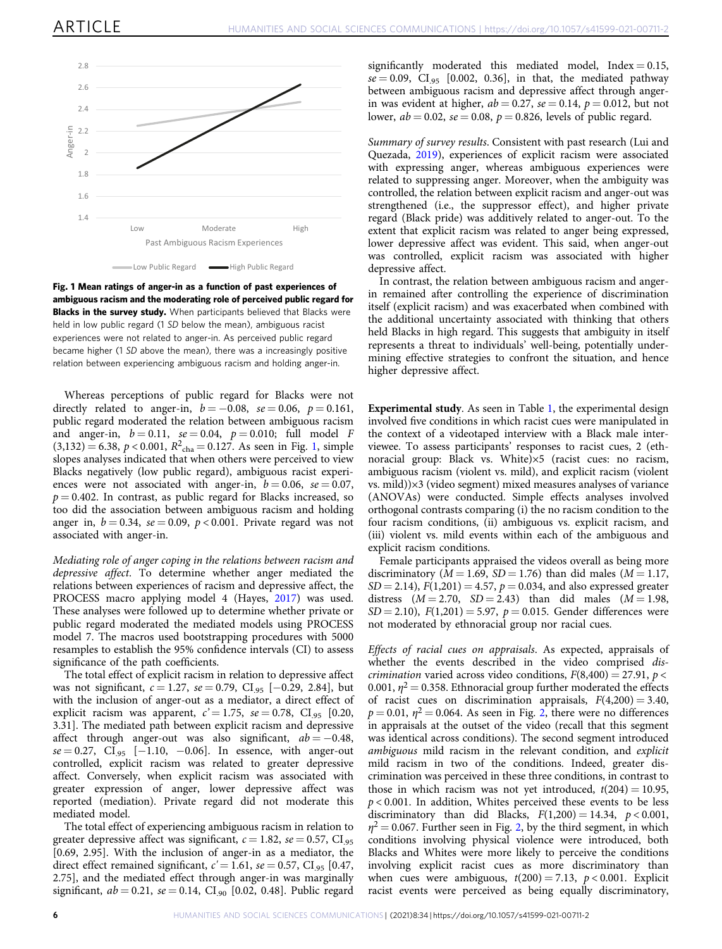

Fig. 1 Mean ratings of anger-in as a function of past experiences of ambiguous racism and the moderating role of perceived public regard for **Blacks in the survey study.** When participants believed that Blacks were held in low public regard (1 SD below the mean), ambiguous racist experiences were not related to anger-in. As perceived public regard became higher (1 SD above the mean), there was a increasingly positive relation between experiencing ambiguous racism and holding anger-in.

Whereas perceptions of public regard for Blacks were not directly related to anger-in,  $b = -0.08$ ,  $se = 0.06$ ,  $p = 0.161$ , public regard moderated the relation between ambiguous racism and anger-in,  $b = 0.11$ ,  $se = 0.04$ ,  $p = 0.010$ ; full model F  $(3,132) = 6.38, p < 0.001, R^2_{\text{cha}} = 0.127$ . As seen in Fig. 1, simple slopes analyses indicated that when others were perceived to view Blacks negatively (low public regard), ambiguous racist experiences were not associated with anger-in,  $b = 0.06$ ,  $se = 0.07$ ,  $p = 0.402$ . In contrast, as public regard for Blacks increased, so too did the association between ambiguous racism and holding anger in,  $b = 0.34$ ,  $se = 0.09$ ,  $p < 0.001$ . Private regard was not associated with anger-in.

Mediating role of anger coping in the relations between racism and depressive affect. To determine whether anger mediated the relations between experiences of racism and depressive affect, the PROCESS macro applying model 4 (Hayes, [2017\)](#page-10-0) was used. These analyses were followed up to determine whether private or public regard moderated the mediated models using PROCESS model 7. The macros used bootstrapping procedures with 5000 resamples to establish the 95% confidence intervals (CI) to assess significance of the path coefficients.

The total effect of explicit racism in relation to depressive affect was not significant,  $c = 1.27$ ,  $se = 0.79$ ,  $CI_{.95}$  [-0.29, 2.84], but with the inclusion of anger-out as a mediator, a direct effect of explicit racism was apparent,  $c' = 1.75$ ,  $se = 0.78$ ,  $CI_{.95}$  [0.20, 3.31]. The mediated path between explicit racism and depressive affect through anger-out was also significant,  $ab = -0.48$ ,  $se = 0.27$ ,  $CI_{.95}$  [-1.10, -0.06]. In essence, with anger-out controlled, explicit racism was related to greater depressive affect. Conversely, when explicit racism was associated with greater expression of anger, lower depressive affect was reported (mediation). Private regard did not moderate this mediated model.

The total effect of experiencing ambiguous racism in relation to greater depressive affect was significant,  $c = 1.82$ ,  $se = 0.57$ , CI<sub>.95</sub> [0.69, 2.95]. With the inclusion of anger-in as a mediator, the direct effect remained significant,  $c' = 1.61$ , se = 0.57, CI<sub>95</sub> [0.47, 2.75], and the mediated effect through anger-in was marginally significant,  $ab = 0.21$ ,  $se = 0.14$ ,  $CI_{.90}$  [0.02, 0.48]. Public regard significantly moderated this mediated model, Index  $= 0.15$ ,  $se = 0.09$ , CI<sub>95</sub> [0.002, 0.36], in that, the mediated pathway between ambiguous racism and depressive affect through angerin was evident at higher,  $ab = 0.27$ ,  $se = 0.14$ ,  $p = 0.012$ , but not lower,  $ab = 0.02$ ,  $se = 0.08$ ,  $p = 0.826$ , levels of public regard.

Summary of survey results. Consistent with past research (Lui and Quezada, [2019](#page-10-0)), experiences of explicit racism were associated with expressing anger, whereas ambiguous experiences were related to suppressing anger. Moreover, when the ambiguity was controlled, the relation between explicit racism and anger-out was strengthened (i.e., the suppressor effect), and higher private regard (Black pride) was additively related to anger-out. To the extent that explicit racism was related to anger being expressed, lower depressive affect was evident. This said, when anger-out was controlled, explicit racism was associated with higher depressive affect.

In contrast, the relation between ambiguous racism and angerin remained after controlling the experience of discrimination itself (explicit racism) and was exacerbated when combined with the additional uncertainty associated with thinking that others held Blacks in high regard. This suggests that ambiguity in itself represents a threat to individuals' well-being, potentially undermining effective strategies to confront the situation, and hence higher depressive affect.

Experimental study. As seen in Table [1](#page-6-0), the experimental design involved five conditions in which racist cues were manipulated in the context of a videotaped interview with a Black male interviewee. To assess participants' responses to racist cues, 2 (ethnoracial group: Black vs. White)×5 (racist cues: no racism, ambiguous racism (violent vs. mild), and explicit racism (violent vs. mild))×3 (video segment) mixed measures analyses of variance (ANOVAs) were conducted. Simple effects analyses involved orthogonal contrasts comparing (i) the no racism condition to the four racism conditions, (ii) ambiguous vs. explicit racism, and (iii) violent vs. mild events within each of the ambiguous and explicit racism conditions.

Female participants appraised the videos overall as being more discriminatory ( $M = 1.69$ ,  $SD = 1.76$ ) than did males ( $M = 1.17$ ,  $SD = 2.14$ ,  $F(1,201) = 4.57$ ,  $p = 0.034$ , and also expressed greater distress  $(M = 2.70, SD = 2.43)$  than did males  $(M = 1.98,$  $SD = 2.10$ ),  $F(1,201) = 5.97$ ,  $p = 0.015$ . Gender differences were not moderated by ethnoracial group nor racial cues.

Effects of racial cues on appraisals. As expected, appraisals of whether the events described in the video comprised dis*crimination* varied across video conditions,  $F(8,400) = 27.91$ ,  $p <$ 0.001,  $\eta^2$  = 0.358. Ethnoracial group further moderated the effects of racist cues on discrimination appraisals,  $F(4,200) = 3.40$ ,  $p = 0.01$ ,  $\eta^2 = 0.064$ . As seen in Fig. [2,](#page-6-0) there were no differences in appraisals at the outset of the video (recall that this segment was identical across conditions). The second segment introduced ambiguous mild racism in the relevant condition, and explicit mild racism in two of the conditions. Indeed, greater discrimination was perceived in these three conditions, in contrast to those in which racism was not yet introduced,  $t(204) = 10.95$ ,  $p$  < 0.001. In addition, Whites perceived these events to be less discriminatory than did Blacks,  $F(1,200) = 14.34$ ,  $p < 0.001$ ,  $\eta^2$  = 0.067. Further seen in Fig. [2,](#page-6-0) by the third segment, in which conditions involving physical violence were introduced, both Blacks and Whites were more likely to perceive the conditions involving explicit racist cues as more discriminatory than when cues were ambiguous,  $t(200) = 7.13$ ,  $p < 0.001$ . Explicit racist events were perceived as being equally discriminatory,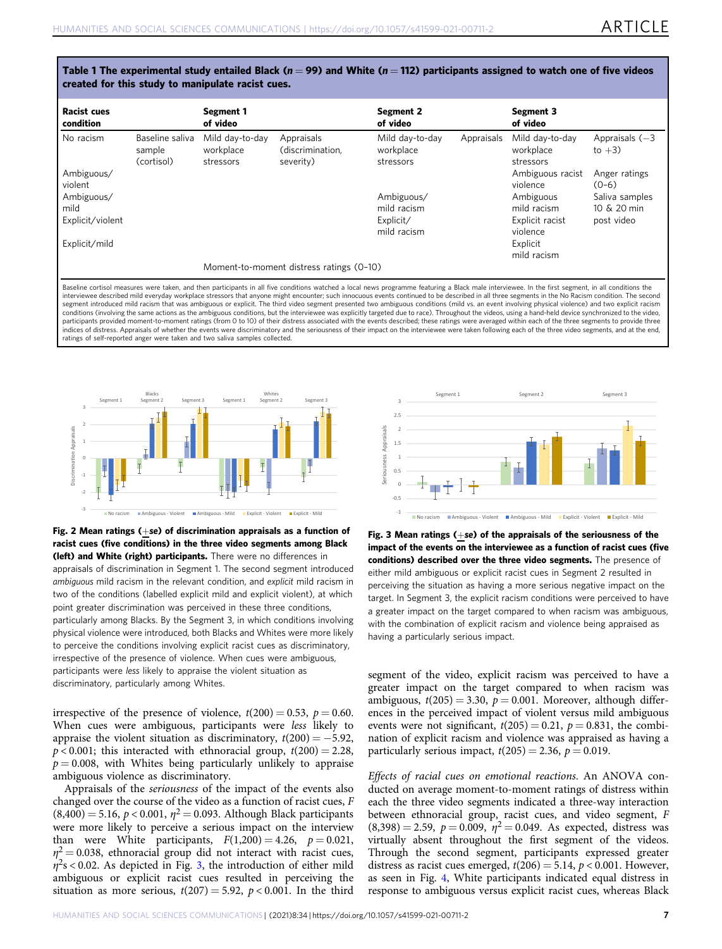<span id="page-6-0"></span>

| Table 1 The experimental study entailed Black ( $n = 99$ ) and White ( $n = 112$ ) participants assigned to watch one of five videos |
|--------------------------------------------------------------------------------------------------------------------------------------|
| created for this study to manipulate racist cues.                                                                                    |

| <b>Racist cues</b><br>condition          |                                         | <b>Segment 1</b><br>of video              |                                             | <b>Segment 2</b><br>of video              |            | <b>Segment 3</b><br>of video              |                               |
|------------------------------------------|-----------------------------------------|-------------------------------------------|---------------------------------------------|-------------------------------------------|------------|-------------------------------------------|-------------------------------|
| No racism                                | Baseline saliva<br>sample<br>(cortisol) | Mild day-to-day<br>workplace<br>stressors | Appraisals<br>(discrimination,<br>severity) | Mild day-to-day<br>workplace<br>stressors | Appraisals | Mild day-to-day<br>workplace<br>stressors | Appraisals $(-3)$<br>to $+3)$ |
| Ambiguous/                               |                                         |                                           |                                             |                                           |            | Ambiguous racist                          | Anger ratings                 |
| violent                                  |                                         |                                           |                                             |                                           |            | violence                                  | $(0-6)$                       |
| Ambiguous/                               |                                         |                                           |                                             | Ambiguous/                                |            | Ambiguous                                 | Saliva samples                |
| mild                                     |                                         |                                           |                                             | mild racism                               |            | mild racism                               | 10 & 20 min                   |
| Explicit/violent                         |                                         |                                           |                                             | Explicit/                                 |            | Explicit racist                           | post video                    |
|                                          |                                         |                                           |                                             | mild racism                               |            | violence                                  |                               |
| Explicit/mild                            |                                         |                                           |                                             |                                           |            | Explicit                                  |                               |
|                                          |                                         |                                           |                                             |                                           |            | mild racism                               |                               |
| Moment-to-moment distress ratings (0-10) |                                         |                                           |                                             |                                           |            |                                           |                               |

Baseline cortisol measures were taken, and then participants in all five conditions watched a local news programme featuring a Black male interviewee. In the first segment, in all conditions the interviewee described mild everyday workplace stressors that anyone might encounter; such innocuous events continued to be described in all three segments in the No Racism condition. The second segment introduced mild racism that was ambiguous or explicit. The third video segment presented two ambiguous conditions (mild vs. an event involving physical violence) and two explicit racism conditions (involving the same actions as the ambiguous conditions, but the interviewee was explicitly targeted due to race). Throughout the videos, using a hand-held device synchronized to the video, participants provided moment-to-moment ratings (from 0 to 10) of their distress associated with the events described; these ratings were averaged within each of the three segments to provide three indices of distress. Appraisals of whether the events were discriminatory and the seriousness of their impact on the interviewee were taken following each of the three video segments, and at the end, ratings of self-reported anger were taken and two saliva samples collected.



Fig. 2 Mean ratings  $(+se)$  of discrimination appraisals as a function of racist cues (five conditions) in the three video segments among Black (left) and White (right) participants. There were no differences in appraisals of discrimination in Segment 1. The second segment introduced ambiguous mild racism in the relevant condition, and explicit mild racism in two of the conditions (labelled explicit mild and explicit violent), at which point greater discrimination was perceived in these three conditions, particularly among Blacks. By the Segment 3, in which conditions involving physical violence were introduced, both Blacks and Whites were more likely to perceive the conditions involving explicit racist cues as discriminatory, irrespective of the presence of violence. When cues were ambiguous, participants were less likely to appraise the violent situation as discriminatory, particularly among Whites.

irrespective of the presence of violence,  $t(200) = 0.53$ ,  $p = 0.60$ . When cues were ambiguous, participants were less likely to appraise the violent situation as discriminatory,  $t(200) = -5.92$ ,  $p < 0.001$ ; this interacted with ethnoracial group,  $t(200) = 2.28$ ,  $p = 0.008$ , with Whites being particularly unlikely to appraise ambiguous violence as discriminatory.

Appraisals of the seriousness of the impact of the events also changed over the course of the video as a function of racist cues, F  $(8,400) = 5.16, p < 0.001, \eta^2 = 0.093$ . Although Black participants were more likely to perceive a serious impact on the interview than were White participants,  $F(1,200) = 4.26$ ,  $p = 0.021$ ,  $\eta^2$  = 0.038, ethnoracial group did not interact with racist cues,  $\eta^2$ s < 0.02. As depicted in Fig. 3, the introduction of either mild ambiguous or explicit racist cues resulted in perceiving the situation as more serious,  $t(207) = 5.92$ ,  $p < 0.001$ . In the third



Fig. 3 Mean ratings  $(+se)$  of the appraisals of the seriousness of the impact of the events on the interviewee as a function of racist cues (five conditions) described over the three video segments. The presence of either mild ambiguous or explicit racist cues in Segment 2 resulted in perceiving the situation as having a more serious negative impact on the target. In Segment 3, the explicit racism conditions were perceived to have a greater impact on the target compared to when racism was ambiguous, with the combination of explicit racism and violence being appraised as having a particularly serious impact.

segment of the video, explicit racism was perceived to have a greater impact on the target compared to when racism was ambiguous,  $t(205) = 3.30$ ,  $p = 0.001$ . Moreover, although differences in the perceived impact of violent versus mild ambiguous events were not significant,  $t(205) = 0.21$ ,  $p = 0.831$ , the combination of explicit racism and violence was appraised as having a particularly serious impact,  $t(205) = 2.36$ ,  $p = 0.019$ .

Effects of racial cues on emotional reactions. An ANOVA conducted on average moment-to-moment ratings of distress within each the three video segments indicated a three-way interaction between ethnoracial group, racist cues, and video segment, F  $(8,398) = 2.59, p = 0.009, \eta^2 = 0.049$ . As expected, distress was virtually absent throughout the first segment of the videos. Through the second segment, participants expressed greater distress as racist cues emerged,  $t(206) = 5.14$ ,  $p < 0.001$ . However, as seen in Fig. [4,](#page-7-0) White participants indicated equal distress in response to ambiguous versus explicit racist cues, whereas Black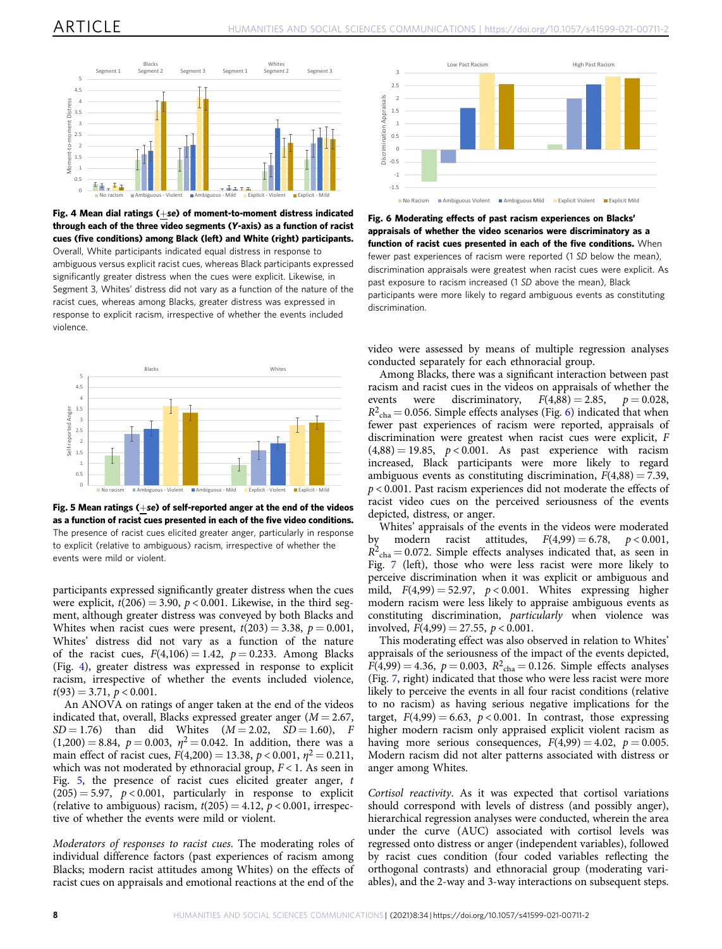<span id="page-7-0"></span>

Fig. 4 Mean dial ratings  $(+se)$  of moment-to-moment distress indicated through each of the three video segments (Y-axis) as a function of racist cues (five conditions) among Black (left) and White (right) participants. Overall, White participants indicated equal distress in response to ambiguous versus explicit racist cues, whereas Black participants expressed significantly greater distress when the cues were explicit. Likewise, in Segment 3, Whites' distress did not vary as a function of the nature of the racist cues, whereas among Blacks, greater distress was expressed in response to explicit racism, irrespective of whether the events included violence.



Fig. 5 Mean ratings  $(+se)$  of self-reported anger at the end of the videos as a function of racist cues presented in each of the five video conditions. The presence of racist cues elicited greater anger, particularly in response to explicit (relative to ambiguous) racism, irrespective of whether the events were mild or violent.

participants expressed significantly greater distress when the cues were explicit,  $t(206) = 3.90$ ,  $p < 0.001$ . Likewise, in the third segment, although greater distress was conveyed by both Blacks and Whites when racist cues were present,  $t(203) = 3.38$ ,  $p = 0.001$ , Whites' distress did not vary as a function of the nature of the racist cues,  $F(4,106) = 1.42$ ,  $p = 0.233$ . Among Blacks (Fig. 4), greater distress was expressed in response to explicit racism, irrespective of whether the events included violence,  $t(93) = 3.71, p < 0.001.$ 

An ANOVA on ratings of anger taken at the end of the videos indicated that, overall, Blacks expressed greater anger ( $M = 2.67$ ,  $SD = 1.76$ ) than did Whites  $(M = 2.02, SD = 1.60)$ , F  $(1,200) = 8.84$ ,  $p = 0.003$ ,  $\eta^2 = 0.042$ . In addition, there was a main effect of racist cues,  $F(4,200) = 13.38$ ,  $p < 0.001$ ,  $n^2 = 0.211$ , which was not moderated by ethnoracial group,  $F < 1$ . As seen in Fig. 5, the presence of racist cues elicited greater anger, t  $(205) = 5.97$ ,  $p < 0.001$ , particularly in response to explicit (relative to ambiguous) racism,  $t(205) = 4.12$ ,  $p < 0.001$ , irrespective of whether the events were mild or violent.

Moderators of responses to racist cues. The moderating roles of individual difference factors (past experiences of racism among Blacks; modern racist attitudes among Whites) on the effects of racist cues on appraisals and emotional reactions at the end of the



Fig. 6 Moderating effects of past racism experiences on Blacks' appraisals of whether the video scenarios were discriminatory as a function of racist cues presented in each of the five conditions. When fewer past experiences of racism were reported (1 SD below the mean), discrimination appraisals were greatest when racist cues were explicit. As past exposure to racism increased (1 SD above the mean), Black participants were more likely to regard ambiguous events as constituting discrimination.

video were assessed by means of multiple regression analyses conducted separately for each ethnoracial group.

Among Blacks, there was a significant interaction between past racism and racist cues in the videos on appraisals of whether the events were discriminatory,  $F(4,88) = 2.85$ ,  $p = 0.028$ ,  $R^2_{\text{cha}} = 0.056$ . Simple effects analyses (Fig. 6) indicated that when fewer past experiences of racism were reported, appraisals of discrimination were greatest when racist cues were explicit, F  $(4,88) = 19.85$ ,  $p < 0.001$ . As past experience with racism increased, Black participants were more likely to regard ambiguous events as constituting discrimination,  $F(4,88) = 7.39$ ,  $p < 0.001$ . Past racism experiences did not moderate the effects of racist video cues on the perceived seriousness of the events depicted, distress, or anger.

Whites' appraisals of the events in the videos were moderated by modern racist attitudes,  $F(4,99) = 6.78$ ,  $p < 0.001$ ,  $R^2_{\text{cha}} = 0.072$ . Simple effects analyses indicated that, as seen in Fig. [7](#page-8-0) (left), those who were less racist were more likely to perceive discrimination when it was explicit or ambiguous and mild,  $F(4,99) = 52.97$ ,  $p < 0.001$ . Whites expressing higher modern racism were less likely to appraise ambiguous events as constituting discrimination, particularly when violence was involved,  $F(4,99) = 27.55$ ,  $p < 0.001$ .

This moderating effect was also observed in relation to Whites' appraisals of the seriousness of the impact of the events depicted,  $F(4,99) = 4.36, p = 0.003, R^2_{\text{cha}} = 0.126$ . Simple effects analyses (Fig. [7,](#page-8-0) right) indicated that those who were less racist were more likely to perceive the events in all four racist conditions (relative to no racism) as having serious negative implications for the target,  $F(4,99) = 6.63$ ,  $p < 0.001$ . In contrast, those expressing higher modern racism only appraised explicit violent racism as having more serious consequences,  $F(4,99) = 4.02$ ,  $p = 0.005$ . Modern racism did not alter patterns associated with distress or anger among Whites.

Cortisol reactivity. As it was expected that cortisol variations should correspond with levels of distress (and possibly anger), hierarchical regression analyses were conducted, wherein the area under the curve (AUC) associated with cortisol levels was regressed onto distress or anger (independent variables), followed by racist cues condition (four coded variables reflecting the orthogonal contrasts) and ethnoracial group (moderating variables), and the 2-way and 3-way interactions on subsequent steps.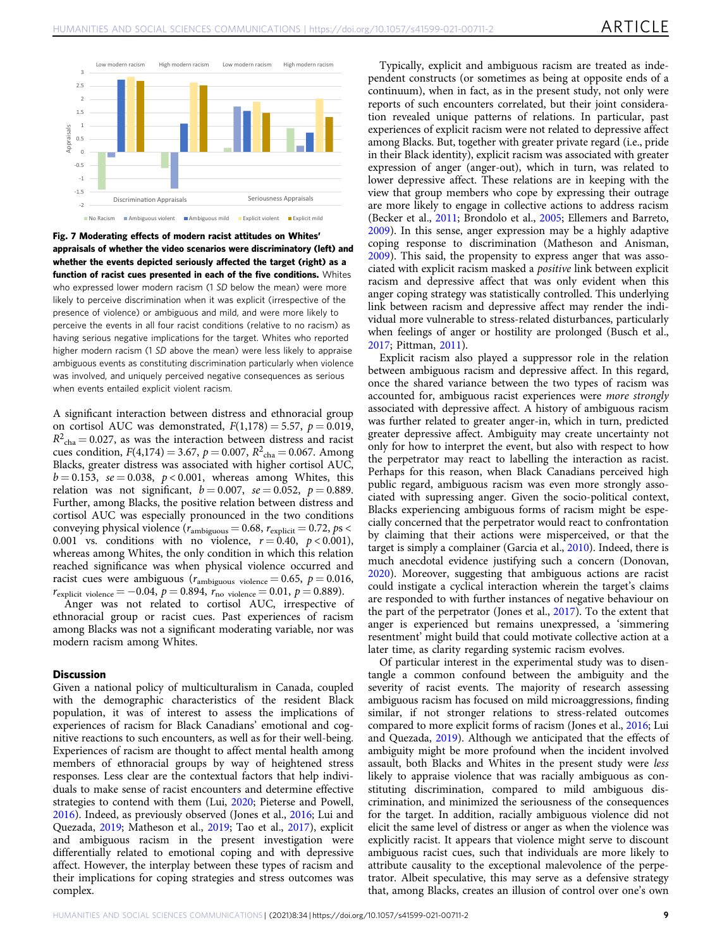<span id="page-8-0"></span>

Fig. 7 Moderating effects of modern racist attitudes on Whites' appraisals of whether the video scenarios were discriminatory (left) and whether the events depicted seriously affected the target (right) as a function of racist cues presented in each of the five conditions. Whites who expressed lower modern racism (1 SD below the mean) were more likely to perceive discrimination when it was explicit (irrespective of the presence of violence) or ambiguous and mild, and were more likely to perceive the events in all four racist conditions (relative to no racism) as having serious negative implications for the target. Whites who reported higher modern racism (1 SD above the mean) were less likely to appraise ambiguous events as constituting discrimination particularly when violence was involved, and uniquely perceived negative consequences as serious when events entailed explicit violent racism.

A significant interaction between distress and ethnoracial group on cortisol AUC was demonstrated,  $F(1,178) = 5.57$ ,  $p = 0.019$ ,  $R^2_{\text{cha}} = 0.027$ , as was the interaction between distress and racist cues condition,  $F(4,174) = 3.67$ ,  $p = 0.007$ ,  $R^2_{\text{cha}} = 0.067$ . Among Blacks, greater distress was associated with higher cortisol AUC,  $b = 0.153$ , se = 0.038, p < 0.001, whereas among Whites, this relation was not significant,  $b = 0.007$ ,  $se = 0.052$ ,  $p = 0.889$ . Further, among Blacks, the positive relation between distress and cortisol AUC was especially pronounced in the two conditions conveying physical violence ( $r_{\text{ambiguous}} = 0.68$ ,  $r_{\text{explicit}} = 0.72$ ,  $ps <$ 0.001 vs. conditions with no violence,  $r = 0.40, p < 0.001$ ), whereas among Whites, the only condition in which this relation reached significance was when physical violence occurred and racist cues were ambiguous ( $r_{\text{ambiguous violence}} = 0.65$ ,  $p = 0.016$ ,  $r_{\text{explicit violence}} = -0.04, p = 0.894, r_{\text{no violence}} = 0.01, p = 0.889$ .

Anger was not related to cortisol AUC, irrespective of ethnoracial group or racist cues. Past experiences of racism among Blacks was not a significant moderating variable, nor was modern racism among Whites.

#### **Discussion**

Given a national policy of multiculturalism in Canada, coupled with the demographic characteristics of the resident Black population, it was of interest to assess the implications of experiences of racism for Black Canadians' emotional and cognitive reactions to such encounters, as well as for their well-being. Experiences of racism are thought to affect mental health among members of ethnoracial groups by way of heightened stress responses. Less clear are the contextual factors that help individuals to make sense of racist encounters and determine effective strategies to contend with them (Lui, [2020;](#page-10-0) Pieterse and Powell, [2016\)](#page-10-0). Indeed, as previously observed (Jones et al., [2016](#page-10-0); Lui and Quezada, [2019](#page-10-0); Matheson et al., [2019](#page-10-0); Tao et al., [2017\)](#page-11-0), explicit and ambiguous racism in the present investigation were differentially related to emotional coping and with depressive affect. However, the interplay between these types of racism and their implications for coping strategies and stress outcomes was complex.

Typically, explicit and ambiguous racism are treated as independent constructs (or sometimes as being at opposite ends of a continuum), when in fact, as in the present study, not only were reports of such encounters correlated, but their joint consideration revealed unique patterns of relations. In particular, past experiences of explicit racism were not related to depressive affect among Blacks. But, together with greater private regard (i.e., pride in their Black identity), explicit racism was associated with greater expression of anger (anger-out), which in turn, was related to lower depressive affect. These relations are in keeping with the view that group members who cope by expressing their outrage are more likely to engage in collective actions to address racism (Becker et al., [2011](#page-9-0); Brondolo et al., [2005](#page-9-0); Ellemers and Barreto, [2009\)](#page-10-0). In this sense, anger expression may be a highly adaptive coping response to discrimination (Matheson and Anisman, [2009\)](#page-10-0). This said, the propensity to express anger that was associated with explicit racism masked a positive link between explicit racism and depressive affect that was only evident when this anger coping strategy was statistically controlled. This underlying link between racism and depressive affect may render the individual more vulnerable to stress-related disturbances, particularly when feelings of anger or hostility are prolonged (Busch et al., [2017;](#page-10-0) Pittman, [2011\)](#page-10-0).

Explicit racism also played a suppressor role in the relation between ambiguous racism and depressive affect. In this regard, once the shared variance between the two types of racism was accounted for, ambiguous racist experiences were more strongly associated with depressive affect. A history of ambiguous racism was further related to greater anger-in, which in turn, predicted greater depressive affect. Ambiguity may create uncertainty not only for how to interpret the event, but also with respect to how the perpetrator may react to labelling the interaction as racist. Perhaps for this reason, when Black Canadians perceived high public regard, ambiguous racism was even more strongly associated with supressing anger. Given the socio-political context, Blacks experiencing ambiguous forms of racism might be especially concerned that the perpetrator would react to confrontation by claiming that their actions were misperceived, or that the target is simply a complainer (Garcia et al., [2010\)](#page-10-0). Indeed, there is much anecdotal evidence justifying such a concern (Donovan, [2020\)](#page-10-0). Moreover, suggesting that ambiguous actions are racist could instigate a cyclical interaction wherein the target's claims are responded to with further instances of negative behaviour on the part of the perpetrator (Jones et al., [2017\)](#page-10-0). To the extent that anger is experienced but remains unexpressed, a 'simmering resentment' might build that could motivate collective action at a later time, as clarity regarding systemic racism evolves.

Of particular interest in the experimental study was to disentangle a common confound between the ambiguity and the severity of racist events. The majority of research assessing ambiguous racism has focused on mild microaggressions, finding similar, if not stronger relations to stress-related outcomes compared to more explicit forms of racism (Jones et al., [2016;](#page-10-0) Lui and Quezada, [2019\)](#page-10-0). Although we anticipated that the effects of ambiguity might be more profound when the incident involved assault, both Blacks and Whites in the present study were less likely to appraise violence that was racially ambiguous as constituting discrimination, compared to mild ambiguous discrimination, and minimized the seriousness of the consequences for the target. In addition, racially ambiguous violence did not elicit the same level of distress or anger as when the violence was explicitly racist. It appears that violence might serve to discount ambiguous racist cues, such that individuals are more likely to attribute causality to the exceptional malevolence of the perpetrator. Albeit speculative, this may serve as a defensive strategy that, among Blacks, creates an illusion of control over one's own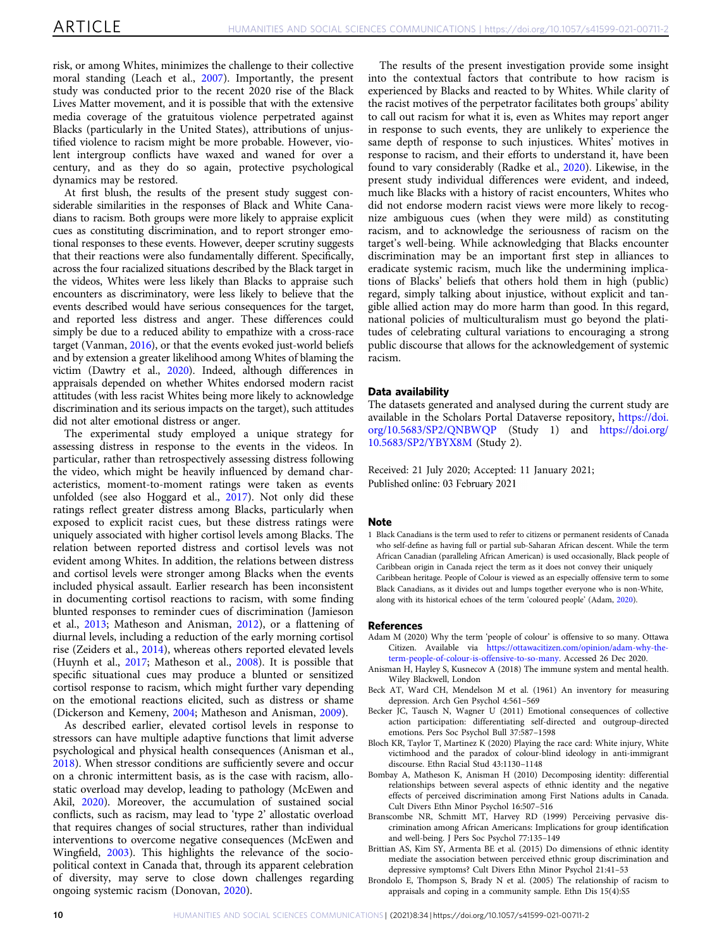<span id="page-9-0"></span>risk, or among Whites, minimizes the challenge to their collective moral standing (Leach et al., [2007](#page-10-0)). Importantly, the present study was conducted prior to the recent 2020 rise of the Black Lives Matter movement, and it is possible that with the extensive media coverage of the gratuitous violence perpetrated against Blacks (particularly in the United States), attributions of unjustified violence to racism might be more probable. However, violent intergroup conflicts have waxed and waned for over a century, and as they do so again, protective psychological dynamics may be restored.

At first blush, the results of the present study suggest considerable similarities in the responses of Black and White Canadians to racism. Both groups were more likely to appraise explicit cues as constituting discrimination, and to report stronger emotional responses to these events. However, deeper scrutiny suggests that their reactions were also fundamentally different. Specifically, across the four racialized situations described by the Black target in the videos, Whites were less likely than Blacks to appraise such encounters as discriminatory, were less likely to believe that the events described would have serious consequences for the target, and reported less distress and anger. These differences could simply be due to a reduced ability to empathize with a cross-race target (Vanman, [2016\)](#page-11-0), or that the events evoked just-world beliefs and by extension a greater likelihood among Whites of blaming the victim (Dawtry et al., [2020\)](#page-10-0). Indeed, although differences in appraisals depended on whether Whites endorsed modern racist attitudes (with less racist Whites being more likely to acknowledge discrimination and its serious impacts on the target), such attitudes did not alter emotional distress or anger.

The experimental study employed a unique strategy for assessing distress in response to the events in the videos. In particular, rather than retrospectively assessing distress following the video, which might be heavily influenced by demand characteristics, moment-to-moment ratings were taken as events unfolded (see also Hoggard et al., [2017](#page-10-0)). Not only did these ratings reflect greater distress among Blacks, particularly when exposed to explicit racist cues, but these distress ratings were uniquely associated with higher cortisol levels among Blacks. The relation between reported distress and cortisol levels was not evident among Whites. In addition, the relations between distress and cortisol levels were stronger among Blacks when the events included physical assault. Earlier research has been inconsistent in documenting cortisol reactions to racism, with some finding blunted responses to reminder cues of discrimination (Jamieson et al., [2013;](#page-10-0) Matheson and Anisman, [2012\)](#page-10-0), or a flattening of diurnal levels, including a reduction of the early morning cortisol rise (Zeiders et al., [2014](#page-11-0)), whereas others reported elevated levels (Huynh et al., [2017](#page-10-0); Matheson et al., [2008](#page-10-0)). It is possible that specific situational cues may produce a blunted or sensitized cortisol response to racism, which might further vary depending on the emotional reactions elicited, such as distress or shame (Dickerson and Kemeny, [2004;](#page-10-0) Matheson and Anisman, [2009\)](#page-10-0).

As described earlier, elevated cortisol levels in response to stressors can have multiple adaptive functions that limit adverse psychological and physical health consequences (Anisman et al., 2018). When stressor conditions are sufficiently severe and occur on a chronic intermittent basis, as is the case with racism, allostatic overload may develop, leading to pathology (McEwen and Akil, [2020\)](#page-10-0). Moreover, the accumulation of sustained social conflicts, such as racism, may lead to 'type 2' allostatic overload that requires changes of social structures, rather than individual interventions to overcome negative consequences (McEwen and Wingfield, [2003](#page-10-0)). This highlights the relevance of the sociopolitical context in Canada that, through its apparent celebration of diversity, may serve to close down challenges regarding ongoing systemic racism (Donovan, [2020\)](#page-10-0).

The results of the present investigation provide some insight into the contextual factors that contribute to how racism is experienced by Blacks and reacted to by Whites. While clarity of the racist motives of the perpetrator facilitates both groups' ability to call out racism for what it is, even as Whites may report anger in response to such events, they are unlikely to experience the same depth of response to such injustices. Whites' motives in response to racism, and their efforts to understand it, have been found to vary considerably (Radke et al., [2020\)](#page-10-0). Likewise, in the present study individual differences were evident, and indeed, much like Blacks with a history of racist encounters, Whites who did not endorse modern racist views were more likely to recognize ambiguous cues (when they were mild) as constituting racism, and to acknowledge the seriousness of racism on the target's well-being. While acknowledging that Blacks encounter discrimination may be an important first step in alliances to eradicate systemic racism, much like the undermining implications of Blacks' beliefs that others hold them in high (public) regard, simply talking about injustice, without explicit and tangible allied action may do more harm than good. In this regard, national policies of multiculturalism must go beyond the platitudes of celebrating cultural variations to encouraging a strong public discourse that allows for the acknowledgement of systemic racism.

#### Data availability

The datasets generated and analysed during the current study are available in the Scholars Portal Dataverse repository, [https://doi.](https://doi.org/10.5683/SP2/QNBWQP) [org/10.5683/SP2/QNBWQP](https://doi.org/10.5683/SP2/QNBWQP) (Study 1) and [https://doi.org/](https://doi.org/10.5683/SP2/YBYX8M) [10.5683/SP2/YBYX8M](https://doi.org/10.5683/SP2/YBYX8M) (Study 2).

Received: 21 July 2020; Accepted: 11 January 2021; Published online: 03 February 2021

#### Note

1 Black Canadians is the term used to refer to citizens or permanent residents of Canada who self-define as having full or partial sub-Saharan African descent. While the term African Canadian (paralleling African American) is used occasionally, Black people of Caribbean origin in Canada reject the term as it does not convey their uniquely Caribbean heritage. People of Colour is viewed as an especially offensive term to some Black Canadians, as it divides out and lumps together everyone who is non-White, along with its historical echoes of the term 'coloured people' (Adam, 2020).

#### **References**

- Adam M (2020) Why the term 'people of colour' is offensive to so many. Ottawa Citizen. Available via [https://ottawacitizen.com/opinion/adam-why-the](https://ottawacitizen.com/opinion/adam-why-the-term-people-of-colour-is-offensive-to-so-many)[term-people-of-colour-is-offensive-to-so-many](https://ottawacitizen.com/opinion/adam-why-the-term-people-of-colour-is-offensive-to-so-many). Accessed 26 Dec 2020.
- Anisman H, Hayley S, Kusnecov A (2018) The immune system and mental health. Wiley Blackwell, London
- Beck AT, Ward CH, Mendelson M et al. (1961) An inventory for measuring depression. Arch Gen Psychol 4:561–569
- Becker JC, Tausch N, Wagner U (2011) Emotional consequences of collective action participation: differentiating self-directed and outgroup-directed emotions. Pers Soc Psychol Bull 37:587–1598
- Bloch KR, Taylor T, Martinez K (2020) Playing the race card: White injury, White victimhood and the paradox of colour-blind ideology in anti-immigrant discourse. Ethn Racial Stud 43:1130–1148
- Bombay A, Matheson K, Anisman H (2010) Decomposing identity: differential relationships between several aspects of ethnic identity and the negative effects of perceived discrimination among First Nations adults in Canada. Cult Divers Ethn Minor Psychol 16:507–516
- Branscombe NR, Schmitt MT, Harvey RD (1999) Perceiving pervasive discrimination among African Americans: Implications for group identification and well-being. J Pers Soc Psychol 77:135–149
- Brittian AS, Kim SY, Armenta BE et al. (2015) Do dimensions of ethnic identity mediate the association between perceived ethnic group discrimination and depressive symptoms? Cult Divers Ethn Minor Psychol 21:41–53
- Brondolo E, Thompson S, Brady N et al. (2005) The relationship of racism to appraisals and coping in a community sample. Ethn Dis 15(4):S5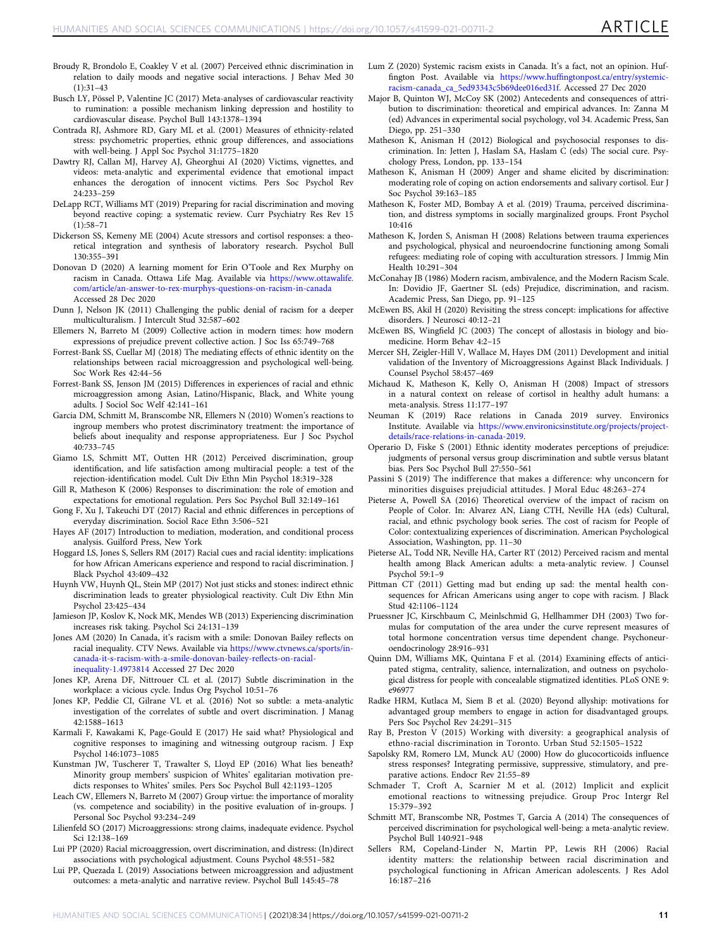- <span id="page-10-0"></span>Broudy R, Brondolo E, Coakley V et al. (2007) Perceived ethnic discrimination in relation to daily moods and negative social interactions. J Behav Med 30 (1):31–43
- Busch LY, Pössel P, Valentine JC (2017) Meta-analyses of cardiovascular reactivity to rumination: a possible mechanism linking depression and hostility to cardiovascular disease. Psychol Bull 143:1378–1394
- Contrada RJ, Ashmore RD, Gary ML et al. (2001) Measures of ethnicity-related stress: psychometric properties, ethnic group differences, and associations with well-being. J Appl Soc Psychol 31:1775–1820
- Dawtry RJ, Callan MJ, Harvey AJ, Gheorghui AI (2020) Victims, vignettes, and videos: meta-analytic and experimental evidence that emotional impact enhances the derogation of innocent victims. Pers Soc Psychol Rev 24:233–259
- DeLapp RCT, Williams MT (2019) Preparing for racial discrimination and moving beyond reactive coping: a systematic review. Curr Psychiatry Res Rev 15 (1):58–71
- Dickerson SS, Kemeny ME (2004) Acute stressors and cortisol responses: a theoretical integration and synthesis of laboratory research. Psychol Bull 130:355–391
- Donovan D (2020) A learning moment for Erin O'Toole and Rex Murphy on racism in Canada. Ottawa Life Mag. Available via [https://www.ottawalife.](https://www.ottawalife.com/article/an-answer-to-rex-murphys-questions-on-racism-in-canada) [com/article/an-answer-to-rex-murphys-questions-on-racism-in-canada](https://www.ottawalife.com/article/an-answer-to-rex-murphys-questions-on-racism-in-canada) Accessed 28 Dec 2020
- Dunn J, Nelson JK (2011) Challenging the public denial of racism for a deeper multiculturalism. J Intercult Stud 32:587–602
- Ellemers N, Barreto M (2009) Collective action in modern times: how modern expressions of prejudice prevent collective action. J Soc Iss 65:749–768
- Forrest-Bank SS, Cuellar MJ (2018) The mediating effects of ethnic identity on the relationships between racial microaggression and psychological well-being. Soc Work Res 42:44–56
- Forrest-Bank SS, Jenson JM (2015) Differences in experiences of racial and ethnic microaggression among Asian, Latino/Hispanic, Black, and White young adults. J Sociol Soc Welf 42:141–161
- Garcia DM, Schmitt M, Branscombe NR, Ellemers N (2010) Women's reactions to ingroup members who protest discriminatory treatment: the importance of beliefs about inequality and response appropriateness. Eur J Soc Psychol 40:733–745
- Giamo LS, Schmitt MT, Outten HR (2012) Perceived discrimination, group identification, and life satisfaction among multiracial people: a test of the rejection-identification model. Cult Div Ethn Min Psychol 18:319–328
- Gill R, Matheson K (2006) Responses to discrimination: the role of emotion and expectations for emotional regulation. Pers Soc Psychol Bull 32:149–161
- Gong F, Xu J, Takeuchi DT (2017) Racial and ethnic differences in perceptions of everyday discrimination. Sociol Race Ethn 3:506–521
- Hayes AF (2017) Introduction to mediation, moderation, and conditional process analysis. Guilford Press, New York
- Hoggard LS, Jones S, Sellers RM (2017) Racial cues and racial identity: implications for how African Americans experience and respond to racial discrimination. J Black Psychol 43:409–432
- Huynh VW, Huynh QL, Stein MP (2017) Not just sticks and stones: indirect ethnic discrimination leads to greater physiological reactivity. Cult Div Ethn Min Psychol 23:425–434
- Jamieson JP, Koslov K, Nock MK, Mendes WB (2013) Experiencing discrimination increases risk taking. Psychol Sci 24:131–139
- Jones AM (2020) In Canada, it's racism with a smile: Donovan Bailey reflects on racial inequality. CTV News. Available via [https://www.ctvnews.ca/sports/in](https://www.ctvnews.ca/sports/in-canada-it-s-racism-with-a-smile-donovan-bailey-reflects-on-racial-inequality-1.4973814)[canada-it-s-racism-with-a-smile-donovan-bailey-re](https://www.ctvnews.ca/sports/in-canada-it-s-racism-with-a-smile-donovan-bailey-reflects-on-racial-inequality-1.4973814)flects-on-racial[inequality-1.4973814](https://www.ctvnews.ca/sports/in-canada-it-s-racism-with-a-smile-donovan-bailey-reflects-on-racial-inequality-1.4973814) Accessed 27 Dec 2020
- Jones KP, Arena DF, Nittrouer CL et al. (2017) Subtle discrimination in the workplace: a vicious cycle. Indus Org Psychol 10:51–76
- Jones KP, Peddie CI, Gilrane VL et al. (2016) Not so subtle: a meta-analytic investigation of the correlates of subtle and overt discrimination. J Manag 42:1588–1613
- Karmali F, Kawakami K, Page-Gould E (2017) He said what? Physiological and cognitive responses to imagining and witnessing outgroup racism. J Exp Psychol 146:1073–1085
- Kunstman JW, Tuscherer T, Trawalter S, Lloyd EP (2016) What lies beneath? Minority group members' suspicion of Whites' egalitarian motivation predicts responses to Whites' smiles. Pers Soc Psychol Bull 42:1193–1205
- Leach CW, Ellemers N, Barreto M (2007) Group virtue: the importance of morality (vs. competence and sociability) in the positive evaluation of in-groups. J Personal Soc Psychol 93:234–249
- Lilienfeld SO (2017) Microaggressions: strong claims, inadequate evidence. Psychol Sci 12:138–169
- Lui PP (2020) Racial microaggression, overt discrimination, and distress: (In)direct associations with psychological adjustment. Couns Psychol 48:551–582
- Lui PP, Quezada L (2019) Associations between microaggression and adjustment outcomes: a meta-analytic and narrative review. Psychol Bull 145:45–78
- Lum Z (2020) Systemic racism exists in Canada. It's a fact, not an opinion. Huffington Post. Available via https://www.huffi[ngtonpost.ca/entry/systemic](https://www.huffingtonpost.ca/entry/systemic-racism-canada_ca_5ed93343c5b69dee016ed31f)[racism-canada\\_ca\\_5ed93343c5b69dee016ed31f](https://www.huffingtonpost.ca/entry/systemic-racism-canada_ca_5ed93343c5b69dee016ed31f). Accessed 27 Dec 2020
- Major B, Quinton WJ, McCoy SK (2002) Antecedents and consequences of attribution to discrimination: theoretical and empirical advances. In: Zanna M (ed) Advances in experimental social psychology, vol 34. Academic Press, San Diego, pp. 251–330
- Matheson K, Anisman H (2012) Biological and psychosocial responses to discrimination. In: Jetten J, Haslam SA, Haslam C (eds) The social cure. Psychology Press, London, pp. 133–154
- Matheson K, Anisman H (2009) Anger and shame elicited by discrimination: moderating role of coping on action endorsements and salivary cortisol. Eur J Soc Psychol 39:163–185
- Matheson K, Foster MD, Bombay A et al. (2019) Trauma, perceived discrimination, and distress symptoms in socially marginalized groups. Front Psychol 10:416
- Matheson K, Jorden S, Anisman H (2008) Relations between trauma experiences and psychological, physical and neuroendocrine functioning among Somali refugees: mediating role of coping with acculturation stressors. J Immig Min Health 10:291–304
- McConahay JB (1986) Modern racism, ambivalence, and the Modern Racism Scale. In: Dovidio JF, Gaertner SL (eds) Prejudice, discrimination, and racism. Academic Press, San Diego, pp. 91–125
- McEwen BS, Akil H (2020) Revisiting the stress concept: implications for affective disorders. J Neurosci 40:12–21
- McEwen BS, Wingfield JC (2003) The concept of allostasis in biology and biomedicine. Horm Behav 4:2–15
- Mercer SH, Zeigler-Hill V, Wallace M, Hayes DM (2011) Development and initial validation of the Inventory of Microaggressions Against Black Individuals. J Counsel Psychol 58:457–469
- Michaud K, Matheson K, Kelly O, Anisman H (2008) Impact of stressors in a natural context on release of cortisol in healthy adult humans: a meta-analysis. Stress 11:177–197
- Neuman K (2019) Race relations in Canada 2019 survey. Environics Institute. Available via [https://www.environicsinstitute.org/projects/project](https://www.environicsinstitute.org/projects/project-details/race-relations-in-canada-2019)[details/race-relations-in-canada-2019.](https://www.environicsinstitute.org/projects/project-details/race-relations-in-canada-2019)
- Operario D, Fiske S (2001) Ethnic identity moderates perceptions of prejudice: judgments of personal versus group discrimination and subtle versus blatant bias. Pers Soc Psychol Bull 27:550–561
- Passini S (2019) The indifference that makes a difference: why unconcern for minorities disguises prejudicial attitudes. J Moral Educ 48:263–274
- Pieterse A, Powell SA (2016) Theoretical overview of the impact of racism on People of Color. In: Alvarez AN, Liang CTH, Neville HA (eds) Cultural, racial, and ethnic psychology book series. The cost of racism for People of Color: contextualizing experiences of discrimination. American Psychological Association, Washington, pp. 11–30
- Pieterse AL, Todd NR, Neville HA, Carter RT (2012) Perceived racism and mental health among Black American adults: a meta-analytic review. J Counsel Psychol 59:1–9
- Pittman CT (2011) Getting mad but ending up sad: the mental health consequences for African Americans using anger to cope with racism. J Black Stud 42:1106–1124
- Pruessner JC, Kirschbaum C, Meinlschmid G, Hellhammer DH (2003) Two formulas for computation of the area under the curve represent measures of total hormone concentration versus time dependent change. Psychoneuroendocrinology 28:916–931
- Quinn DM, Williams MK, Quintana F et al. (2014) Examining effects of anticipated stigma, centrality, salience, internalization, and outness on psychological distress for people with concealable stigmatized identities. PLoS ONE 9: e96977
- Radke HRM, Kutlaca M, Siem B et al. (2020) Beyond allyship: motivations for advantaged group members to engage in action for disadvantaged groups. Pers Soc Psychol Rev 24:291–315
- Ray B, Preston V (2015) Working with diversity: a geographical analysis of ethno-racial discrimination in Toronto. Urban Stud 52:1505–1522
- Sapolsky RM, Romero LM, Munck AU (2000) How do glucocorticoids influence stress responses? Integrating permissive, suppressive, stimulatory, and preparative actions. Endocr Rev 21:55–89
- Schmader T, Croft A, Scarnier M et al. (2012) Implicit and explicit emotional reactions to witnessing prejudice. Group Proc Intergr Rel 15:379–392
- Schmitt MT, Branscombe NR, Postmes T, Garcia A (2014) The consequences of perceived discrimination for psychological well-being: a meta-analytic review. Psychol Bull 140:921–948
- Sellers RM, Copeland‐Linder N, Martin PP, Lewis RH (2006) Racial identity matters: the relationship between racial discrimination and psychological functioning in African American adolescents. J Res Adol 16:187–216